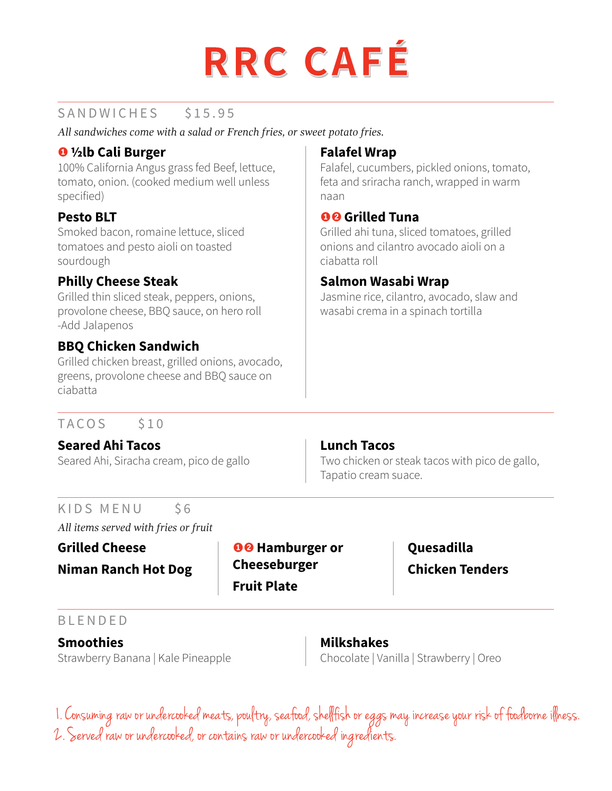

### SANDWICHES \$15.95

*All sandwiches come with a salad or French fries, or sweet potato fries.*

### Õ **½lb Cali Burger**

100% California Angus grass fed Beef, lettuce, tomato, onion. (cooked medium well unless specified)

### **Pesto BLT**

Smoked bacon, romaine lettuce, sliced tomatoes and pesto aioli on toasted sourdough

### **Philly Cheese Steak**

Grilled thin sliced steak, peppers, onions, provolone cheese, BBQ sauce, on hero roll -Add Jalapenos

### **BBQ Chicken Sandwich**

Grilled chicken breast, grilled onions, avocado, greens, provolone cheese and BBQ sauce on ciabatta

# **Falafel Wrap**

Falafel, cucumbers, pickled onions, tomato, feta and sriracha ranch, wrapped in warm naan

### **OO** Grilled Tuna

Grilled ahi tuna, sliced tomatoes, grilled onions and cilantro avocado aioli on a ciabatta roll

### **Salmon Wasabi Wrap**

Jasmine rice, cilantro, avocado, slaw and wasabi crema in a spinach tortilla

### TACOS \$10

### **Seared Ahi Tacos**

Seared Ahi, Siracha cream, pico de gallo

### **Lunch Tacos**

Two chicken or steak tacos with pico de gallo, Tapatio cream suace.

### KIDS MENU \$6

*All items served with fries or fruit*

**Niman Ranch Hot Dog**

**Grilled Cheese No. 1 OO** Hamburger or **Cheeseburger Fruit Plate**

# **Quesadilla Chicken Tenders**

### BLENDED

**Smoothies** Strawberry Banana | Kale Pineapple

# **Milkshakes**

Chocolate | Vanilla | Strawberry | Oreo

1. Consuming raw or undercooked meats, poultry, seafood, shellfish or eggs may increase your risk of foodborne illness. 2. Served raw or undercooked, or contains raw or undercooked ingredients.